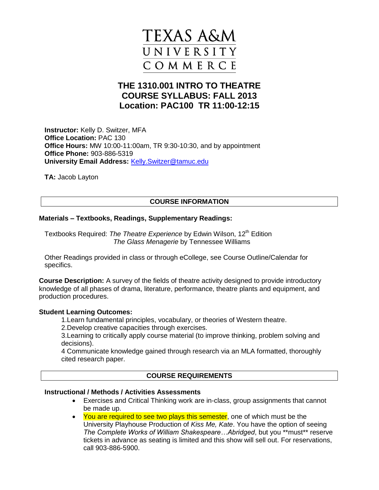

# **THE 1310.001 INTRO TO THEATRE COURSE SYLLABUS: FALL 2013 Location: PAC100 TR 11:00-12:15**

**Instructor:** Kelly D. Switzer, MFA **Office Location:** PAC 130 **Office Hours:** MW 10:00-11:00am, TR 9:30-10:30, and by appointment **Office Phone:** [903-886-5319](tel:903-886-5319) **University Email Address:** <Kelly.Switzer@tamuc.edu>

**TA:** Jacob Layton

## **COURSE INFORMATION**

## **Materials – Textbooks, Readings, Supplementary Readings:**

Textbooks Required: *The Theatre Experience* by Edwin Wilson, 12th Edition *The Glass Menagerie* by Tennessee Williams

Other Readings provided in class or through eCollege, see Course Outline/Calendar for specifics.

**Course Description:** A survey of the fields of theatre activity designed to provide introductory knowledge of all phases of drama, literature, performance, theatre plants and equipment, and production procedures.

#### **Student Learning Outcomes:**

- 1.Learn fundamental principles, vocabulary, or theories of Western theatre.
- 2.Develop creative capacities through exercises.

3.Learning to critically apply course material (to improve thinking, problem solving and decisions).

4 Communicate knowledge gained through research via an MLA formatted, thoroughly cited research paper.

## **COURSE REQUIREMENTS**

#### **Instructional / Methods / Activities Assessments**

- Exercises and Critical Thinking work are in-class, group assignments that cannot be made up.
- You are required to see two plays this semester, one of which must be the University Playhouse Production of *Kiss Me, Kate*. You have the option of seeing *The Complete Works of William Shakespeare…Abridged*, but you \*\*must\*\* reserve tickets in advance as seating is limited and this show will sell out. For reservations, call 903-886-5900.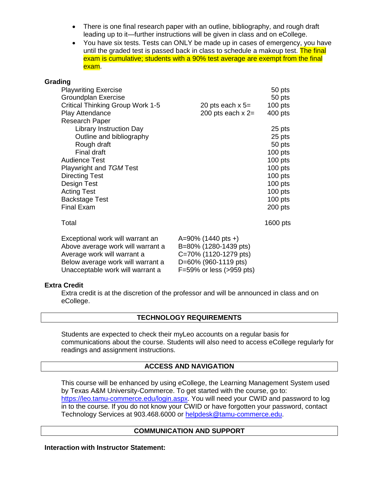- There is one final research paper with an outline, bibliography, and rough draft leading up to it—further instructions will be given in class and on eCollege.
- You have six tests. Tests can ONLY be made up in cases of emergency, you have until the graded test is passed back in class to schedule a makeup test. The final exam is cumulative; students with a 90% test average are exempt from the final exam.

#### **Grading**

| <b>Playwriting Exercise</b><br>Groundplan Exercise |                          | 50 pts<br>50 pts |
|----------------------------------------------------|--------------------------|------------------|
| Critical Thinking Group Work 1-5                   | 20 pts each $x$ 5=       | $100$ pts        |
| <b>Play Attendance</b>                             | 200 pts each $x = 2$     | $400$ pts        |
| Research Paper                                     |                          |                  |
| <b>Library Instruction Day</b>                     |                          | 25 pts           |
| Outline and bibliography                           |                          | 25 pts           |
| Rough draft                                        |                          | 50 pts           |
| Final draft                                        |                          | $100$ pts        |
| <b>Audience Test</b>                               |                          | $100$ pts        |
| Playwright and TGM Test                            |                          | $100$ pts        |
| <b>Directing Test</b>                              |                          | $100$ pts        |
| Design Test                                        |                          | $100$ pts        |
| <b>Acting Test</b>                                 |                          | $100$ pts        |
| <b>Backstage Test</b>                              |                          | 100 pts          |
| <b>Final Exam</b>                                  |                          | $200$ pts        |
| Total                                              |                          | 1600 pts         |
| Exceptional work will warrant an                   | $A=90\%$ (1440 pts +)    |                  |
| Above average work will warrant a                  | B=80% (1280-1439 pts)    |                  |
| Average work will warrant a                        | C=70% (1120-1279 pts)    |                  |
| Below average work will warrant a                  | D=60% (960-1119 pts)     |                  |
| Unacceptable work will warrant a                   | F=59% or less (>959 pts) |                  |

#### **Extra Credit**

Extra credit is at the discretion of the professor and will be announced in class and on eCollege.

## **TECHNOLOGY REQUIREMENTS**

Students are expected to check their myLeo accounts on a regular basis for communications about the course. Students will also need to access eCollege regularly for readings and assignment instructions.

#### **ACCESS AND NAVIGATION**

This course will be enhanced by using eCollege, the Learning Management System used by Texas A&M University-Commerce. To get started with the course, go to: [https://leo.tamu-commerce.edu/login.aspx.](https://leo.tamu-commerce.edu/login.aspx) You will need your CWID and password to log in to the course. If you do not know your CWID or have forgotten your password, contact Technology Services at 903.468.6000 or [helpdesk@tamu-commerce.edu.](mailto:helpdesk@tamu-commerce.edu)

#### **COMMUNICATION AND SUPPORT**

**Interaction with Instructor Statement:**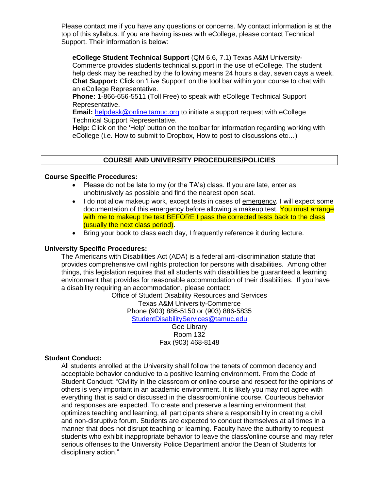Please contact me if you have any questions or concerns. My contact information is at the top of this syllabus. If you are having issues with eCollege, please contact Technical Support. Their information is below:

**eCollege Student Technical Support** (QM 6.6, 7.1) Texas A&M University-Commerce provides students technical support in the use of eCollege. The student help desk may be reached by the following means 24 hours a day, seven days a week. **Chat Support:** Click on 'Live Support' on the tool bar within your course to chat with an eCollege Representative.

**Phone:** 1-866-656-5511 (Toll Free) to speak with eCollege Technical Support Representative.

**Email:** [helpdesk@online.tamuc.org](helpdesk@online.tamuc.org%20) to initiate a support request with eCollege Technical Support Representative.

**Help:** Click on the 'Help' button on the toolbar for information regarding working with eCollege (i.e. How to submit to Dropbox, How to post to discussions etc…)

## **COURSE AND UNIVERSITY PROCEDURES/POLICIES**

#### **Course Specific Procedures:**

- Please do not be late to my (or the TA's) class. If you are late, enter as unobtrusively as possible and find the nearest open seat.
- I do not allow makeup work, except tests in cases of emergency*.* I will expect some documentation of this emergency before allowing a makeup test. You must arrange with me to makeup the test BEFORE I pass the corrected tests back to the class (usually the next class period).
- Bring your book to class each day, I frequently reference it during lecture.

#### **University Specific Procedures:**

The Americans with Disabilities Act (ADA) is a federal anti-discrimination statute that provides comprehensive civil rights protection for persons with disabilities. Among other things, this legislation requires that all students with disabilities be guaranteed a learning environment that provides for reasonable accommodation of their disabilities. If you have a disability requiring an accommodation, please contact:

Office of Student Disability Resources and Services Texas A&M University-Commerce Phone (903) 886-5150 or (903) 886-5835 <StudentDisabilityServices@tamuc.edu> Gee Library

Room 132 Fax (903) 468-8148

#### **Student Conduct:**

All students enrolled at the University shall follow the tenets of common decency and acceptable behavior conducive to a positive learning environment. From the Code of Student Conduct: "Civility in the classroom or online course and respect for the opinions of others is very important in an academic environment. It is likely you may not agree with everything that is said or discussed in the classroom/online course. Courteous behavior and responses are expected. To create and preserve a learning environment that optimizes teaching and learning, all participants share a responsibility in creating a civil and non-disruptive forum. Students are expected to conduct themselves at all times in a manner that does not disrupt teaching or learning. Faculty have the authority to request students who exhibit inappropriate behavior to leave the class/online course and may refer serious offenses to the University Police Department and/or the Dean of Students for disciplinary action."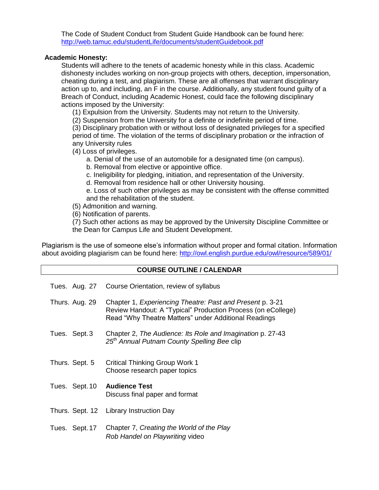The Code of Student Conduct from Student Guide Handbook can be found here: <http://web.tamuc.edu/studentLife/documents/studentGuidebook.pdf>

## **Academic Honesty:**

Students will adhere to the tenets of academic honesty while in this class. Academic dishonesty includes working on non-group projects with others, deception, impersonation, cheating during a test, and plagiarism. These are all offenses that warrant disciplinary action up to, and including, an F in the course. Additionally, any student found guilty of a Breach of Conduct, including Academic Honest, could face the following disciplinary actions imposed by the University:

(1) Expulsion from the University. Students may not return to the University.

(2) Suspension from the University for a definite or indefinite period of time.

(3) Disciplinary probation with or without loss of designated privileges for a specified period of time. The violation of the terms of disciplinary probation or the infraction of any University rules

(4) Loss of privileges.

a. Denial of the use of an automobile for a designated time (on campus).

b. Removal from elective or appointive office.

c. Ineligibility for pledging, initiation, and representation of the University.

d. Removal from residence hall or other University housing.

e. Loss of such other privileges as may be consistent with the offense committed and the rehabilitation of the student.

(5) Admonition and warning.

(6) Notification of parents.

(7) Such other actions as may be approved by the University Discipline Committee or the Dean for Campus Life and Student Development.

Plagiarism is the use of someone else's information without proper and formal citation. Information about avoiding plagiarism can be found here:<http://owl.english.purdue.edu/owl/resource/589/01/>

### **COURSE OUTLINE / CALENDAR**

|                | Tues. Aug. 27 Course Orientation, review of syllabus                                                                                                                              |
|----------------|-----------------------------------------------------------------------------------------------------------------------------------------------------------------------------------|
| Thurs. Aug. 29 | Chapter 1, Experiencing Theatre: Past and Present p. 3-21<br>Review Handout: A "Typical" Production Process (on eCollege)<br>Read "Why Theatre Matters" under Additional Readings |
| Tues. Sept.3   | Chapter 2, The Audience: Its Role and Imagination p. 27-43<br>25 <sup>th</sup> Annual Putnam County Spelling Bee clip                                                             |
| Thurs. Sept. 5 | <b>Critical Thinking Group Work 1</b><br>Choose research paper topics                                                                                                             |
| Tues. Sept. 10 | <b>Audience Test</b><br>Discuss final paper and format                                                                                                                            |
|                | Thurs. Sept. 12 Library Instruction Day                                                                                                                                           |
| Tues. Sept. 17 | Chapter 7, Creating the World of the Play<br>Rob Handel on Playwriting video                                                                                                      |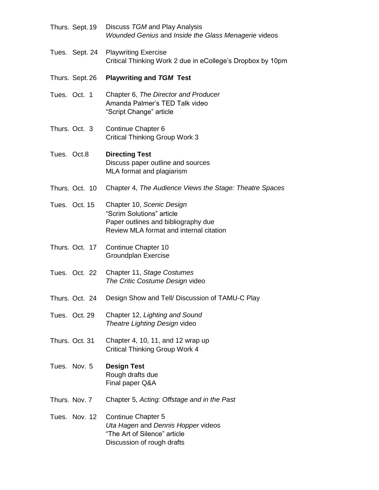|               | Thurs. Sept. 19 | Discuss TGM and Play Analysis<br>Wounded Genius and Inside the Glass Menagerie videos                                                    |
|---------------|-----------------|------------------------------------------------------------------------------------------------------------------------------------------|
|               | Tues. Sept. 24  | <b>Playwriting Exercise</b><br>Critical Thinking Work 2 due in eCollege's Dropbox by 10pm                                                |
|               | Thurs. Sept. 26 | <b>Playwriting and TGM Test</b>                                                                                                          |
| Tues. Oct. 1  |                 | Chapter 6, The Director and Producer<br>Amanda Palmer's TED Talk video<br>"Script Change" article                                        |
|               | Thurs. Oct. 3   | Continue Chapter 6<br><b>Critical Thinking Group Work 3</b>                                                                              |
| Tues. Oct.8   |                 | <b>Directing Test</b><br>Discuss paper outline and sources<br>MLA format and plagiarism                                                  |
|               | Thurs. Oct. 10  | Chapter 4, The Audience Views the Stage: Theatre Spaces                                                                                  |
|               | Tues. Oct. 15   | Chapter 10, Scenic Design<br>"Scrim Solutions" article<br>Paper outlines and bibliography due<br>Review MLA format and internal citation |
|               | Thurs. Oct. 17  | Continue Chapter 10<br>Groundplan Exercise                                                                                               |
|               | Tues. Oct. 22   | Chapter 11, Stage Costumes<br>The Critic Costume Design video                                                                            |
|               | Thurs. Oct. 24  | Design Show and Tell/ Discussion of TAMU-C Play                                                                                          |
|               | Tues. Oct. 29   | Chapter 12, Lighting and Sound<br>Theatre Lighting Design video                                                                          |
|               | Thurs. Oct. 31  | Chapter 4, 10, 11, and 12 wrap up<br><b>Critical Thinking Group Work 4</b>                                                               |
|               | Tues. Nov. 5    | <b>Design Test</b><br>Rough drafts due<br>Final paper Q&A                                                                                |
| Thurs. Nov. 7 |                 | Chapter 5, Acting: Offstage and in the Past                                                                                              |
|               | Tues. Nov. 12   | <b>Continue Chapter 5</b><br>Uta Hagen and Dennis Hopper videos<br>"The Art of Silence" article<br>Discussion of rough drafts            |